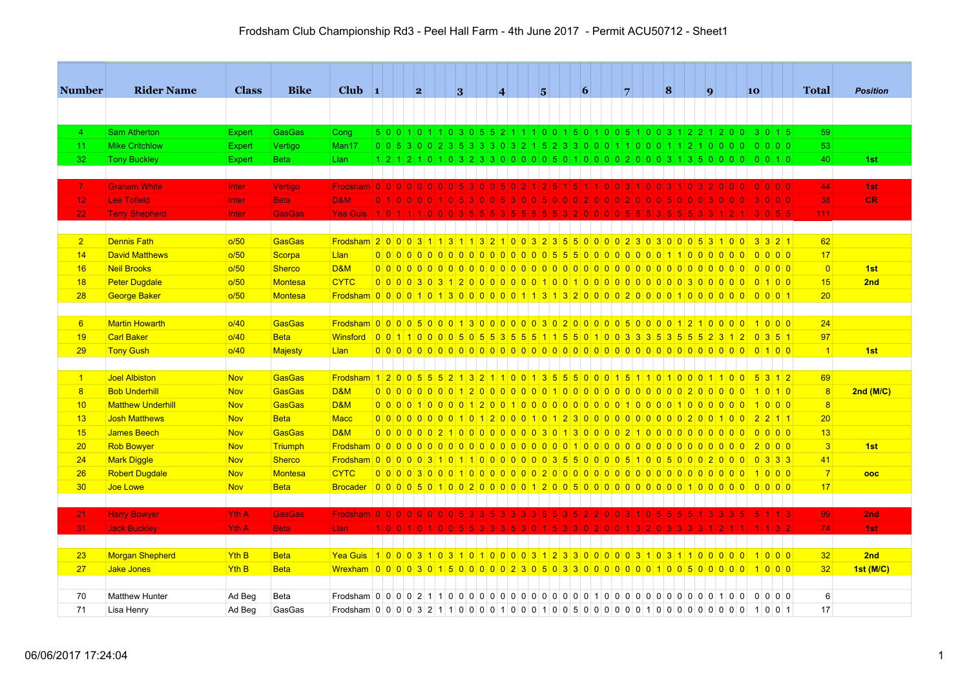| Number          | <b>Rider Name</b>        | <b>Class</b>     | <b>Bike</b>    | Club $\vert$ 1                                                                                           |                | 2        |                                 | 3                     |             | $\overline{\mathbf{4}}$ |                                                                           |                          | 5               |                 | 6            |          | $\overline{7}$ |                | $\vert 8 \vert$     |  | $\mathbf{q}$ | 10 |                |                                                                                   | <b>Total</b>    | <b>Position</b>  |
|-----------------|--------------------------|------------------|----------------|----------------------------------------------------------------------------------------------------------|----------------|----------|---------------------------------|-----------------------|-------------|-------------------------|---------------------------------------------------------------------------|--------------------------|-----------------|-----------------|--------------|----------|----------------|----------------|---------------------|--|--------------|----|----------------|-----------------------------------------------------------------------------------|-----------------|------------------|
|                 |                          |                  |                |                                                                                                          |                |          |                                 |                       |             |                         |                                                                           |                          |                 |                 |              |          |                |                |                     |  |              |    |                |                                                                                   |                 |                  |
|                 |                          |                  |                |                                                                                                          |                |          |                                 |                       |             |                         |                                                                           |                          |                 |                 |              |          |                |                |                     |  |              |    |                |                                                                                   |                 |                  |
| $\overline{4}$  | <b>Sam Atherton</b>      | <b>Expert</b>    | <b>GasGas</b>  | Cong                                                                                                     |                |          |                                 |                       |             |                         |                                                                           |                          |                 |                 |              |          |                |                |                     |  |              |    |                | 5 0 0 1 0 1 1 0 3 0 5 5 2 1 1 1 0 0 1 5 0 1 0 0 5 1 0 0 3 1 2 2 1 2 0 0 3 0 1 5   | 59              |                  |
| 11              | <b>Mike Critchlow</b>    | <b>Expert</b>    | Vertigo        | Man17                                                                                                    |                |          |                                 |                       |             |                         |                                                                           |                          |                 |                 |              |          |                |                |                     |  |              |    |                |                                                                                   | 53              |                  |
| 32              | <b>Tony Buckley</b>      | <b>Expert</b>    | <b>Beta</b>    | Llan                                                                                                     |                |          |                                 |                       |             |                         |                                                                           |                          |                 |                 |              |          |                |                |                     |  |              |    |                | 1 2 1 2 1 0 1 0 3 2 3 3 0 0 0 0 0 5 0 1 0 0 0 0 2 0 0 0 3 1 3 5 0 0 0 0 0 0 0 1 0 | 40              | 1st              |
|                 |                          |                  |                |                                                                                                          |                |          |                                 |                       |             |                         |                                                                           |                          |                 |                 |              |          |                |                |                     |  |              |    |                |                                                                                   |                 |                  |
| $\mathbf{7}$    | <b>Graham White</b>      | Inter            | Vertigo        | Frodsham 0 0 0 0 0 0 0 0 5 3 0 0 5 0 2 1 2 5                                                             |                |          |                                 |                       |             |                         |                                                                           |                          |                 |                 |              |          |                |                |                     |  |              |    |                | 0 0 0 0                                                                           | 44              | 1st              |
| 12              | <b>Lee Tofield</b>       | Inter            | <b>Beta</b>    | <b>D&amp;M</b>                                                                                           | 0 <sub>1</sub> |          |                                 |                       |             |                         | n.                                                                        | $\overline{0}$           | -51<br>l 0 l    | 0 <sub>10</sub> | $\mathbf{0}$ | l 0 l    |                | $\overline{0}$ |                     |  |              |    |                | 0 0 0                                                                             | 38              | CR.              |
| 22              | <b>Terry Shepherd</b>    | Inter            | <b>GasGas</b>  | Yea Guis                                                                                                 | 1 0 1 1        |          | $\vert 0 \vert 0 \vert 0 \vert$ |                       |             |                         |                                                                           |                          |                 |                 |              |          |                |                |                     |  |              |    |                | 3 0 5 5                                                                           | 111             |                  |
|                 |                          |                  |                |                                                                                                          |                |          |                                 |                       |             |                         |                                                                           |                          |                 |                 |              |          |                |                |                     |  |              |    |                |                                                                                   |                 |                  |
| $\overline{2}$  | <b>Dennis Fath</b>       | o/50             | <b>GasGas</b>  | Frodsham 2 0 0 0 3 1 1 3 1 1 3 2 1 0 0 3 2 3 5 5 0 0 0 0 2 3 0 3 0 0 0 5 3 1 0 0                         |                |          |                                 |                       |             |                         |                                                                           |                          |                 |                 |              |          |                |                |                     |  |              |    |                | $3321$                                                                            | 62              |                  |
| 14              | <b>David Matthews</b>    | o/50             | Scorpa         | <b>Llan</b>                                                                                              |                |          |                                 |                       |             |                         | 000000000000000000055500000000011000000                                   |                          |                 |                 |              |          |                |                |                     |  |              |    |                | $0\ 0\ 0\ 0$                                                                      | 17              |                  |
| 16              | <b>Neil Brooks</b>       | o/50             | <b>Sherco</b>  | <b>D&amp;M</b>                                                                                           |                |          |                                 |                       |             |                         |                                                                           |                          |                 |                 |              |          |                |                |                     |  |              |    | $\overline{0}$ | $\overline{0}$ $\overline{0}$ $\overline{0}$                                      | $\overline{0}$  | 1st              |
| 18              | <b>Peter Dugdale</b>     | o/50             | <b>Montesa</b> | <b>CYTC</b>                                                                                              |                |          |                                 |                       |             |                         |                                                                           |                          |                 |                 |              |          |                |                |                     |  |              |    |                | 000030312000000100100000000003000000000                                           | 15              | 2nd              |
| 28              | <b>George Baker</b>      | o/50             | <b>Montesa</b> |                                                                                                          |                |          |                                 |                       |             |                         |                                                                           |                          |                 |                 |              |          |                |                |                     |  |              |    |                |                                                                                   | 20 <sup>2</sup> |                  |
|                 |                          |                  |                |                                                                                                          |                |          |                                 |                       |             |                         |                                                                           |                          |                 |                 |              |          |                |                |                     |  |              |    |                |                                                                                   |                 |                  |
| 6               | <b>Martin Howarth</b>    | o/40             | GasGas         | <u>Frodsham 0 0 0 0 5 0 0 0 1 3 0 0 0 0 0 0 3 0 2 0 0 0 0 0 5 0 0 0 0 1 2 1 0 0 0 0 1 0 0 0 1 0 0 0 </u> |                |          |                                 |                       |             |                         |                                                                           |                          |                 |                 |              |          |                |                |                     |  |              |    |                |                                                                                   | 24              |                  |
| 19              | <b>Carl Baker</b>        | o/40             | <b>Beta</b>    | <u>Winsford 001100000505355511550100333535552312</u>                                                     |                |          |                                 |                       |             |                         |                                                                           |                          |                 |                 |              |          |                |                |                     |  |              |    |                | $0 \ 3 \ 5 \ 1$                                                                   | 97              |                  |
| 29              | <b>Tony Gush</b>         | o/40             | <b>Majesty</b> | Llan                                                                                                     |                |          |                                 |                       |             |                         |                                                                           |                          |                 |                 |              |          |                |                |                     |  |              |    |                |                                                                                   | $\vert$ 1       | 1st              |
|                 |                          |                  |                |                                                                                                          |                |          |                                 |                       |             |                         |                                                                           |                          |                 |                 |              |          |                |                |                     |  |              |    |                |                                                                                   |                 |                  |
| $\vert$ 1       | <b>Joel Albiston</b>     | <b>Nov</b>       | <b>GasGas</b>  | Frodsham 1 2 0 0 5 5 5 2 1 3 2 1 1 0 0 1 3 5 5 5 0 0 0 1 5 1 1 0 1 0 0 0 1 1 0 0 5 3 1 2                 |                |          |                                 |                       |             |                         |                                                                           |                          |                 |                 |              |          |                |                |                     |  |              |    |                |                                                                                   | 69              |                  |
| 8               | <b>Bob Underhill</b>     | <b>Nov</b>       | <b>GasGas</b>  | <b>D&amp;M</b>                                                                                           |                |          |                                 |                       |             |                         |                                                                           |                          |                 |                 |              |          |                |                |                     |  |              |    |                |                                                                                   | 8               | 2nd(M/C)         |
| 10              | <b>Matthew Underhill</b> | <b>Nov</b>       | <b>GasGas</b>  | <b>D&amp;M</b>                                                                                           |                |          |                                 |                       |             |                         |                                                                           |                          |                 |                 |              |          |                |                |                     |  |              |    |                |                                                                                   | 8               |                  |
| 13              | <b>Josh Matthews</b>     | <b>Nov</b>       | <b>Beta</b>    | <b>Macc</b>                                                                                              |                |          |                                 |                       |             |                         | 00000000010120001012300000000000200100                                    |                          |                 |                 |              |          |                |                |                     |  |              |    |                | $2$ 2 1 1                                                                         | 20              |                  |
| 15              | <b>James Beech</b>       | <b>Nov</b>       | GasGas         | <b>D&amp;M</b>                                                                                           |                |          |                                 |                       |             |                         | 0 0 0 0 0 0 2 1 0 0 0 0 0 0 0 0 0 3 0 1 3 0 0 0 0 2 1 0 0 0 0 0 0 0 0 0 0 |                          |                 |                 |              |          |                |                |                     |  |              |    |                | 0000                                                                              | 13              |                  |
| 20              | <b>Rob Bowyer</b>        | <b>Nov</b>       | <b>Triumph</b> |                                                                                                          |                |          |                                 |                       |             |                         |                                                                           |                          |                 |                 |              |          |                |                |                     |  |              |    |                | 2000                                                                              | $\vert 3 \vert$ | 1st              |
| 24              | <b>Mark Diggle</b>       | <b>Nov</b>       | <b>Sherco</b>  | Frodsham 0 0 0 0 0 0 3 1 0 1 1 0 0 0 0 0 0 0 0 3 5 5 0 0 0 0 5 1 0 0 5 0 0 0 2 0 0 0 0 3 3 3             |                |          |                                 |                       |             |                         |                                                                           |                          |                 |                 |              |          |                |                |                     |  |              |    |                |                                                                                   | 41              |                  |
| 26              | <b>Robert Dugdale</b>    | <b>Nov</b>       | <b>Montesa</b> | <b>CYTC</b>                                                                                              |                |          |                                 |                       |             |                         |                                                                           |                          |                 |                 |              |          |                |                |                     |  |              |    |                |                                                                                   | 7               | ooc              |
| 30 <sub>o</sub> | Joe Lowe                 | <b>Nov</b>       | <b>Beta</b>    |                                                                                                          |                |          |                                 |                       |             |                         |                                                                           |                          |                 |                 |              |          |                |                |                     |  |              |    |                |                                                                                   | 17              |                  |
|                 |                          |                  |                |                                                                                                          |                |          |                                 |                       |             |                         |                                                                           |                          |                 |                 |              |          |                |                |                     |  |              |    |                |                                                                                   |                 |                  |
| 21              | <b>Harry Bowyer</b>      | <b>Yth A</b>     | <b>GasGas</b>  | Frodsham   0   0   0   0   0   0   0                                                                     |                |          |                                 |                       |             |                         | ◆                                                                         | <b>3</b>                 | -51             | $\overline{3}$  |              | 2 0      | $\Omega$       | 0 <sub>5</sub> |                     |  |              |    |                | 1113                                                                              | 99              | 2nd              |
| 31              | <b>Jack Buckley</b>      | Yth A            | <b>Beta</b>    | Llan                                                                                                     | 1 0 0          | <b>O</b> | $\vert 0 \vert$                 | $\overline{0}$<br>-51 | l 5.<br>-3. | -3.<br>-3-              | 5 3                                                                       | $\overline{\phantom{0}}$ | $\vert 5 \vert$ |                 | 3 3 0 2      | <b>O</b> | $\overline{0}$ | -2.<br>-31     | $\mathbf{0}$<br>-3. |  |              |    |                | 3 2                                                                               | 74              | 1st              |
|                 |                          |                  |                |                                                                                                          |                |          |                                 |                       |             |                         |                                                                           |                          |                 |                 |              |          |                |                |                     |  |              |    |                |                                                                                   |                 |                  |
| 23              | <b>Morgan Shepherd</b>   | <b>Yth B</b>     | <b>Beta</b>    | <u>Yea Guis 1000310310310100003123300000310311031000000</u>                                              |                |          |                                 |                       |             |                         |                                                                           |                          |                 |                 |              |          |                |                |                     |  |              |    |                |                                                                                   | 32              | 2nd              |
| 27              | <b>Jake Jones</b>        | Yth <sub>B</sub> | <b>Beta</b>    |                                                                                                          |                |          |                                 |                       |             |                         |                                                                           |                          |                 |                 |              |          |                |                |                     |  |              |    |                |                                                                                   | 32              | <b>1st (M/C)</b> |
|                 |                          |                  |                |                                                                                                          |                |          |                                 |                       |             |                         |                                                                           |                          |                 |                 |              |          |                |                |                     |  |              |    |                |                                                                                   |                 |                  |
| 70              | <b>Matthew Hunter</b>    | Ad Beg           | Beta           |                                                                                                          |                |          |                                 |                       |             |                         |                                                                           |                          |                 |                 |              |          |                |                |                     |  |              |    |                | 0 0 0 0                                                                           | 6               |                  |
| 71              | Lisa Henry               | Ad Beg           | GasGas         |                                                                                                          |                |          |                                 |                       |             |                         |                                                                           |                          |                 |                 |              |          |                |                |                     |  |              |    |                |                                                                                   | 17              |                  |